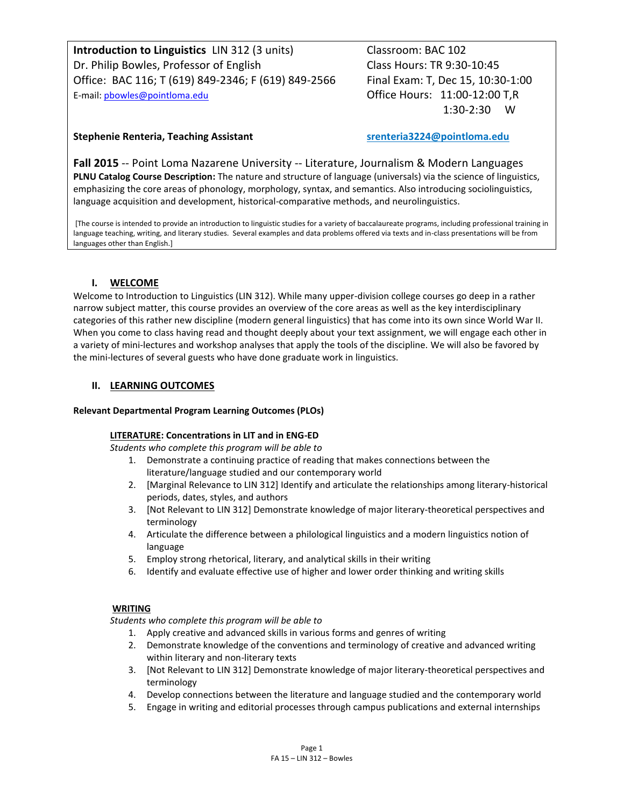**Introduction to Linguistics** LIN 312 (3 units) Classroom: BAC 102 Dr. Philip Bowles, Professor of English Class Hours: TR 9:30-10:45 Office: BAC 116; T (619) 849-2346; F (619) 849-2566 Final Exam: T, Dec 15, 10:30-1:00 E-mail: phowles@pointloma.edu **Office Hours: 11:00-12:00 T,R** 

1:30-2:30 W

## **Stephenie Renteria, Teaching Assistant srenteria3224@pointloma.edu**

**Fall 2015** -- Point Loma Nazarene University -- Literature, Journalism & Modern Languages **PLNU Catalog Course Description:** The nature and structure of language (universals) via the science of linguistics, emphasizing the core areas of phonology, morphology, syntax, and semantics. Also introducing sociolinguistics, language acquisition and development, historical-comparative methods, and neurolinguistics.

[The course is intended to provide an introduction to linguistic studies for a variety of baccalaureate programs, including professional training in language teaching, writing, and literary studies. Several examples and data problems offered via texts and in-class presentations will be from languages other than English.]

## **I. WELCOME**

Welcome to Introduction to Linguistics (LIN 312). While many upper-division college courses go deep in a rather narrow subject matter, this course provides an overview of the core areas as well as the key interdisciplinary categories of this rather new discipline (modern general linguistics) that has come into its own since World War II. When you come to class having read and thought deeply about your text assignment, we will engage each other in a variety of mini-lectures and workshop analyses that apply the tools of the discipline. We will also be favored by the mini-lectures of several guests who have done graduate work in linguistics.

## **II. LEARNING OUTCOMES**

## **Relevant Departmental Program Learning Outcomes (PLOs)**

## **LITERATURE: Concentrations in LIT and in ENG-ED**

*Students who complete this program will be able to*

- 1. Demonstrate a continuing practice of reading that makes connections between the literature/language studied and our contemporary world
- 2. [Marginal Relevance to LIN 312] Identify and articulate the relationships among literary-historical periods, dates, styles, and authors
- 3. [Not Relevant to LIN 312] Demonstrate knowledge of major literary-theoretical perspectives and terminology
- 4. Articulate the difference between a philological linguistics and a modern linguistics notion of language
- 5. Employ strong rhetorical, literary, and analytical skills in their writing
- 6. Identify and evaluate effective use of higher and lower order thinking and writing skills

## **WRITING**

*Students who complete this program will be able to* 

- 1. Apply creative and advanced skills in various forms and genres of writing
- 2. Demonstrate knowledge of the conventions and terminology of creative and advanced writing within literary and non-literary texts
- 3. [Not Relevant to LIN 312] Demonstrate knowledge of major literary-theoretical perspectives and terminology
- 4. Develop connections between the literature and language studied and the contemporary world
- 5. Engage in writing and editorial processes through campus publications and external internships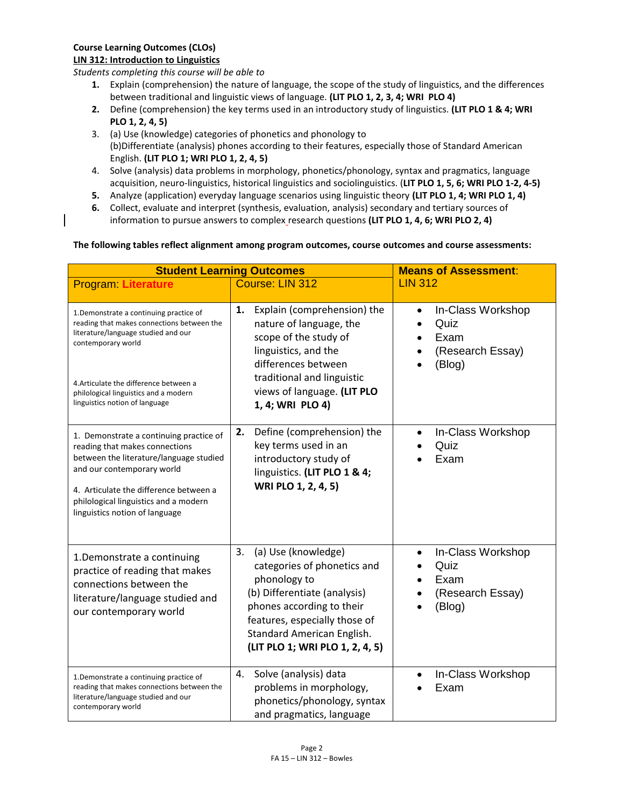## **Course Learning Outcomes (CLOs)**

### **LIN 312: Introduction to Linguistics**

*Students completing this course will be able to*

- **1.** Explain (comprehension) the nature of language, the scope of the study of linguistics, and the differences between traditional and linguistic views of language. **(LIT PLO 1, 2, 3, 4; WRI PLO 4)**
- **2.** Define (comprehension) the key terms used in an introductory study of linguistics. **(LIT PLO 1 & 4; WRI PLO 1, 2, 4, 5)**
- 3. (a) Use (knowledge) categories of phonetics and phonology to (b)Differentiate (analysis) phones according to their features, especially those of Standard American English. **(LIT PLO 1; WRI PLO 1, 2, 4, 5)**
- 4. Solve (analysis) data problems in morphology, phonetics/phonology, syntax and pragmatics, language acquisition, neuro-linguistics, historical linguistics and sociolinguistics. (**LIT PLO 1, 5, 6; WRI PLO 1-2, 4-5)**
- **5.** Analyze (application) everyday language scenarios using linguistic theory **(LIT PLO 1, 4; WRI PLO 1, 4)**
- **6.** Collect, evaluate and interpret (synthesis, evaluation, analysis) secondary and tertiary sources of information to pursue answers to complex research questions **(LIT PLO 1, 4, 6; WRI PLO 2, 4)**

## **The following tables reflect alignment among program outcomes, course outcomes and course assessments:**

| <b>Student Learning Outcomes</b>                                                                                                                                                                                                                                        |                                                                                                                                                                                                                                         | <b>Means of Assessment:</b>                                     |
|-------------------------------------------------------------------------------------------------------------------------------------------------------------------------------------------------------------------------------------------------------------------------|-----------------------------------------------------------------------------------------------------------------------------------------------------------------------------------------------------------------------------------------|-----------------------------------------------------------------|
| <b>Program Literature</b>                                                                                                                                                                                                                                               | Course: LIN 312                                                                                                                                                                                                                         | <b>LIN 312</b>                                                  |
| 1. Demonstrate a continuing practice of<br>reading that makes connections between the<br>literature/language studied and our<br>contemporary world<br>4. Articulate the difference between a<br>philological linguistics and a modern<br>linguistics notion of language | Explain (comprehension) the<br>1.<br>nature of language, the<br>scope of the study of<br>linguistics, and the<br>differences between<br>traditional and linguistic<br>views of language. (LIT PLO<br>1, 4; WRI PLO 4)                   | In-Class Workshop<br>Quiz<br>Exam<br>(Research Essay)<br>(Blog) |
| 1. Demonstrate a continuing practice of<br>reading that makes connections<br>between the literature/language studied<br>and our contemporary world<br>4. Articulate the difference between a<br>philological linguistics and a modern<br>linguistics notion of language | Define (comprehension) the<br>2.<br>key terms used in an<br>introductory study of<br>linguistics. (LIT PLO 1 & 4;<br>WRI PLO 1, 2, 4, 5)                                                                                                | In-Class Workshop<br>Quiz<br>Exam                               |
| 1.Demonstrate a continuing<br>practice of reading that makes<br>connections between the<br>literature/language studied and<br>our contemporary world                                                                                                                    | 3.<br>(a) Use (knowledge)<br>categories of phonetics and<br>phonology to<br>(b) Differentiate (analysis)<br>phones according to their<br>features, especially those of<br>Standard American English.<br>(LIT PLO 1; WRI PLO 1, 2, 4, 5) | In-Class Workshop<br>Quiz<br>Exam<br>(Research Essay)<br>(Blog) |
| 1. Demonstrate a continuing practice of<br>reading that makes connections between the<br>literature/language studied and our<br>contemporary world                                                                                                                      | Solve (analysis) data<br>4.<br>problems in morphology,<br>phonetics/phonology, syntax<br>and pragmatics, language                                                                                                                       | In-Class Workshop<br>Exam                                       |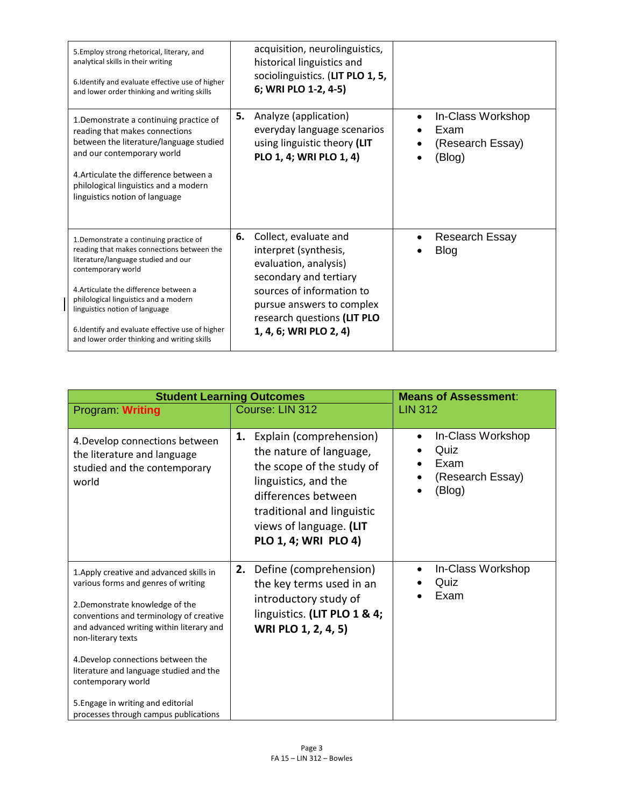| 5. Employ strong rhetorical, literary, and<br>analytical skills in their writing<br>6. Identify and evaluate effective use of higher<br>and lower order thinking and writing skills                                                                                                                                                                                       | acquisition, neurolinguistics,<br>historical linguistics and<br>sociolinguistics. (LIT PLO 1, 5,<br>6; WRI PLO 1-2, 4-5)                                                                                                   |                                                         |
|---------------------------------------------------------------------------------------------------------------------------------------------------------------------------------------------------------------------------------------------------------------------------------------------------------------------------------------------------------------------------|----------------------------------------------------------------------------------------------------------------------------------------------------------------------------------------------------------------------------|---------------------------------------------------------|
| 1. Demonstrate a continuing practice of<br>reading that makes connections<br>between the literature/language studied<br>and our contemporary world<br>4. Articulate the difference between a<br>philological linguistics and a modern<br>linguistics notion of language                                                                                                   | 5.<br>Analyze (application)<br>everyday language scenarios<br>using linguistic theory (LIT<br>PLO 1, 4; WRI PLO 1, 4)                                                                                                      | In-Class Workshop<br>Exam<br>(Research Essay)<br>(Blog) |
| 1. Demonstrate a continuing practice of<br>reading that makes connections between the<br>literature/language studied and our<br>contemporary world<br>4. Articulate the difference between a<br>philological linguistics and a modern<br>linguistics notion of language<br>6.Identify and evaluate effective use of higher<br>and lower order thinking and writing skills | 6.<br>Collect, evaluate and<br>interpret (synthesis,<br>evaluation, analysis)<br>secondary and tertiary<br>sources of information to<br>pursue answers to complex<br>research questions (LIT PLO<br>1, 4, 6; WRI PLO 2, 4) | <b>Research Essay</b><br><b>Blog</b>                    |

 $\overline{\phantom{a}}$ 

| <b>Student Learning Outcomes</b>                                                                                                                                                                                                                                                                                                                                                                                      |                                                                                                                                                                                                                       | <b>Means of Assessment:</b>                                     |
|-----------------------------------------------------------------------------------------------------------------------------------------------------------------------------------------------------------------------------------------------------------------------------------------------------------------------------------------------------------------------------------------------------------------------|-----------------------------------------------------------------------------------------------------------------------------------------------------------------------------------------------------------------------|-----------------------------------------------------------------|
| Program Writing                                                                                                                                                                                                                                                                                                                                                                                                       | Course: LIN 312                                                                                                                                                                                                       | <b>LIN 312</b>                                                  |
| 4. Develop connections between<br>the literature and language<br>studied and the contemporary<br>world                                                                                                                                                                                                                                                                                                                | 1.<br>Explain (comprehension)<br>the nature of language,<br>the scope of the study of<br>linguistics, and the<br>differences between<br>traditional and linguistic<br>views of language. (LIT<br>PLO 1, 4; WRI PLO 4) | In-Class Workshop<br>Quiz<br>Exam<br>(Research Essay)<br>(Blog) |
| 1. Apply creative and advanced skills in<br>various forms and genres of writing<br>2. Demonstrate knowledge of the<br>conventions and terminology of creative<br>and advanced writing within literary and<br>non-literary texts<br>4. Develop connections between the<br>literature and language studied and the<br>contemporary world<br>5. Engage in writing and editorial<br>processes through campus publications | 2.<br>Define (comprehension)<br>the key terms used in an<br>introductory study of<br>linguistics. (LIT PLO 1 & 4;<br>WRI PLO 1, 2, 4, 5)                                                                              | In-Class Workshop<br>Quiz<br>Exam                               |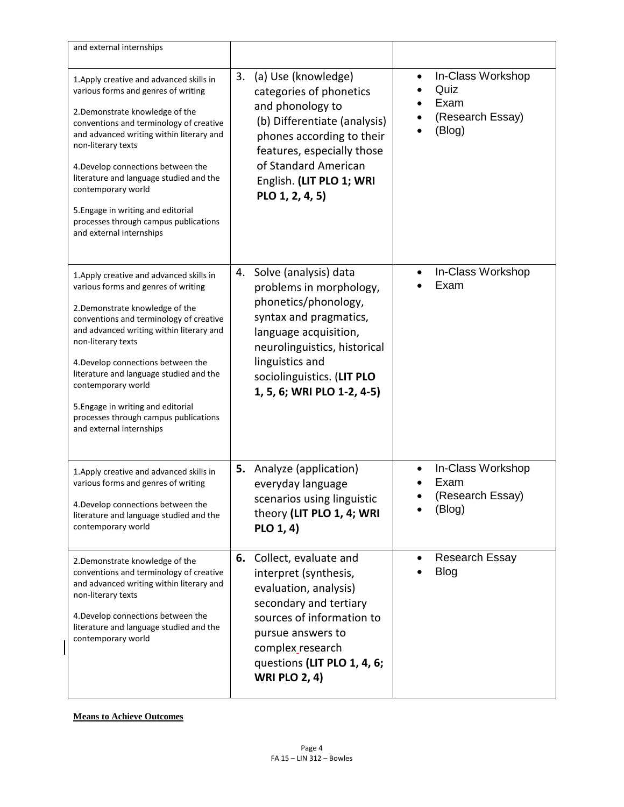| and external internships                                                                                                                                                                                                                                                                                                                                                                                                                          |                                                                                                                                                                                                                                                  |                                                                 |
|---------------------------------------------------------------------------------------------------------------------------------------------------------------------------------------------------------------------------------------------------------------------------------------------------------------------------------------------------------------------------------------------------------------------------------------------------|--------------------------------------------------------------------------------------------------------------------------------------------------------------------------------------------------------------------------------------------------|-----------------------------------------------------------------|
| 1. Apply creative and advanced skills in<br>various forms and genres of writing<br>2. Demonstrate knowledge of the<br>conventions and terminology of creative<br>and advanced writing within literary and<br>non-literary texts<br>4. Develop connections between the<br>literature and language studied and the<br>contemporary world<br>5. Engage in writing and editorial<br>processes through campus publications<br>and external internships | (a) Use (knowledge)<br>3.<br>categories of phonetics<br>and phonology to<br>(b) Differentiate (analysis)<br>phones according to their<br>features, especially those<br>of Standard American<br>English. (LIT PLO 1; WRI<br>PLO 1, 2, 4, 5)       | In-Class Workshop<br>Quiz<br>Exam<br>(Research Essay)<br>(Blog) |
| 1. Apply creative and advanced skills in<br>various forms and genres of writing<br>2. Demonstrate knowledge of the<br>conventions and terminology of creative<br>and advanced writing within literary and<br>non-literary texts<br>4. Develop connections between the<br>literature and language studied and the<br>contemporary world<br>5. Engage in writing and editorial<br>processes through campus publications<br>and external internships | Solve (analysis) data<br>4.<br>problems in morphology,<br>phonetics/phonology,<br>syntax and pragmatics,<br>language acquisition,<br>neurolinguistics, historical<br>linguistics and<br>sociolinguistics. (LIT PLO<br>1, 5, 6; WRI PLO 1-2, 4-5) | In-Class Workshop<br>Exam                                       |
| 1. Apply creative and advanced skills in<br>various forms and genres of writing<br>4. Develop connections between the<br>literature and language studied and the<br>contemporary world                                                                                                                                                                                                                                                            | <b>5.</b> Analyze (application)<br>everyday language<br>scenarios using linguistic<br>theory (LIT PLO 1, 4; WRI<br>PLO 1, 4)                                                                                                                     | In-Class Workshop<br>Exam<br>(Research Essay)<br>(Blog)         |
| 2. Demonstrate knowledge of the<br>conventions and terminology of creative<br>and advanced writing within literary and<br>non-literary texts<br>4. Develop connections between the<br>literature and language studied and the<br>contemporary world                                                                                                                                                                                               | 6. Collect, evaluate and<br>interpret (synthesis,<br>evaluation, analysis)<br>secondary and tertiary<br>sources of information to<br>pursue answers to<br>complex_research<br>questions (LIT PLO 1, 4, 6;<br><b>WRI PLO 2, 4)</b>                | <b>Research Essay</b><br><b>Blog</b>                            |

## **Means to Achieve Outcomes**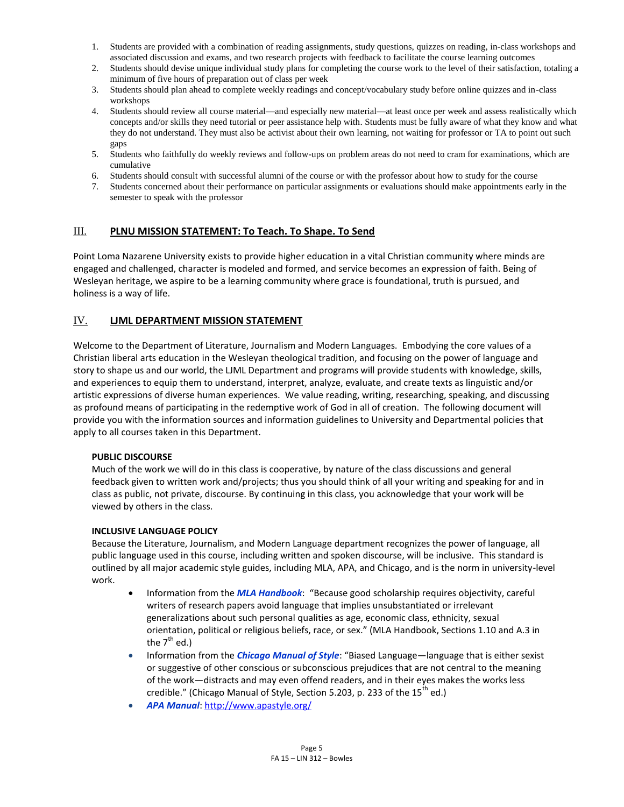- 1. Students are provided with a combination of reading assignments, study questions, quizzes on reading, in-class workshops and associated discussion and exams, and two research projects with feedback to facilitate the course learning outcomes
- 2. Students should devise unique individual study plans for completing the course work to the level of their satisfaction, totaling a minimum of five hours of preparation out of class per week
- 3. Students should plan ahead to complete weekly readings and concept/vocabulary study before online quizzes and in-class workshops
- 4. Students should review all course material—and especially new material—at least once per week and assess realistically which concepts and/or skills they need tutorial or peer assistance help with. Students must be fully aware of what they know and what they do not understand. They must also be activist about their own learning, not waiting for professor or TA to point out such gaps
- 5. Students who faithfully do weekly reviews and follow-ups on problem areas do not need to cram for examinations, which are cumulative
- 6. Students should consult with successful alumni of the course or with the professor about how to study for the course
- 7. Students concerned about their performance on particular assignments or evaluations should make appointments early in the semester to speak with the professor

## III. **PLNU MISSION STATEMENT: To Teach. To Shape. To Send**

Point Loma Nazarene University exists to provide higher education in a vital Christian community where minds are engaged and challenged, character is modeled and formed, and service becomes an expression of faith. Being of Wesleyan heritage, we aspire to be a learning community where grace is foundational, truth is pursued, and holiness is a way of life.

## IV. **LJML DEPARTMENT MISSION STATEMENT**

Welcome to the Department of Literature, Journalism and Modern Languages. Embodying the core values of a Christian liberal arts education in the Wesleyan theological tradition, and focusing on the power of language and story to shape us and our world, the LJML Department and programs will provide students with knowledge, skills, and experiences to equip them to understand, interpret, analyze, evaluate, and create texts as linguistic and/or artistic expressions of diverse human experiences. We value reading, writing, researching, speaking, and discussing as profound means of participating in the redemptive work of God in all of creation. The following document will provide you with the information sources and information guidelines to University and Departmental policies that apply to all courses taken in this Department.

## **PUBLIC DISCOURSE**

Much of the work we will do in this class is cooperative, by nature of the class discussions and general feedback given to written work and/projects; thus you should think of all your writing and speaking for and in class as public, not private, discourse. By continuing in this class, you acknowledge that your work will be viewed by others in the class.

### **INCLUSIVE LANGUAGE POLICY**

Because the Literature, Journalism, and Modern Language department recognizes the power of language, all public language used in this course, including written and spoken discourse, will be inclusive. This standard is outlined by all major academic style guides, including MLA, APA, and Chicago, and is the norm in university-level work.

- **Information from the** *MLA Handbook***:** "Because good scholarship requires objectivity, careful writers of research papers avoid language that implies unsubstantiated or irrelevant generalizations about such personal qualities as age, economic class, ethnicity, sexual orientation, political or religious beliefs, race, or sex." (MLA Handbook, Sections 1.10 and A.3 in the  $7<sup>tn</sup>$  ed.)
- **Information from the** *Chicago Manual of Style***:** "Biased Language—language that is either sexist or suggestive of other conscious or subconscious prejudices that are not central to the meaning of the work—distracts and may even offend readers, and in their eyes makes the works less credible." (Chicago Manual of Style, Section 5.203, p. 233 of the  $15<sup>th</sup>$  ed.)
- *APA Manual*[: http://www.apastyle.org/](http://www.apastyle.org/)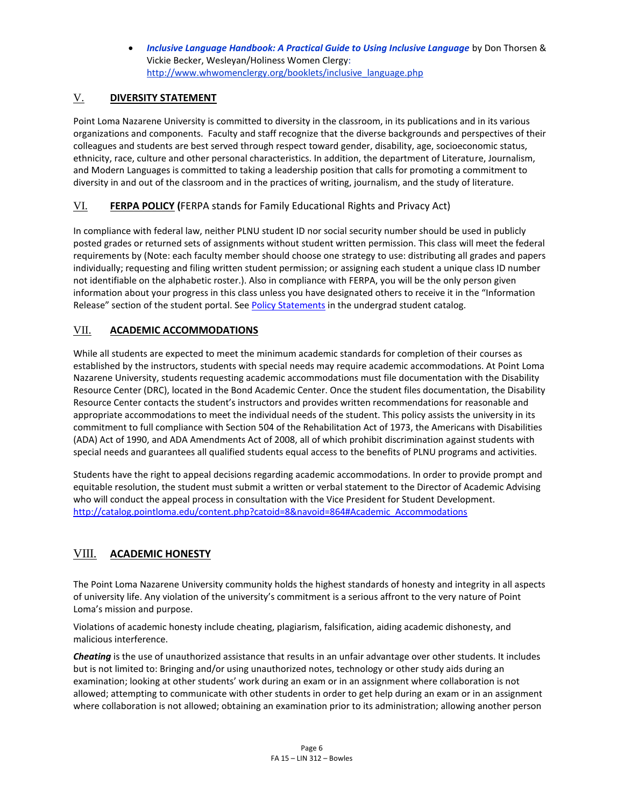*Inclusive Language Handbook: A Practical Guide to Using Inclusive Language* by Don Thorsen & Vickie Becker, Wesleyan/Holiness Women Clergy: [http://www.whwomenclergy.org/booklets/inclusive\\_language.php](http://www.whwomenclergy.org/booklets/inclusive_language.php)

# V. **DIVERSITY STATEMENT**

Point Loma Nazarene University is committed to diversity in the classroom, in its publications and in its various organizations and components. Faculty and staff recognize that the diverse backgrounds and perspectives of their colleagues and students are best served through respect toward gender, disability, age, socioeconomic status, ethnicity, race, culture and other personal characteristics. In addition, the department of Literature, Journalism, and Modern Languages is committed to taking a leadership position that calls for promoting a commitment to diversity in and out of the classroom and in the practices of writing, journalism, and the study of literature.

# VI. **FERPA POLICY (**FERPA stands for Family Educational Rights and Privacy Act)

In compliance with federal law, neither PLNU student ID nor social security number should be used in publicly posted grades or returned sets of assignments without student written permission. This class will meet the federal requirements by (Note: each faculty member should choose one strategy to use: distributing all grades and papers individually; requesting and filing written student permission; or assigning each student a unique class ID number not identifiable on the alphabetic roster.). Also in compliance with FERPA, you will be the only person given information about your progress in this class unless you have designated others to receive it in the "Information Release" section of the student portal. See [Policy Statements](http://catalog.pointloma.edu/content.php?catoid=8&navoid=864) in the undergrad student catalog.

# VII. **ACADEMIC ACCOMMODATIONS**

While all students are expected to meet the minimum academic standards for completion of their courses as established by the instructors, students with special needs may require academic accommodations. At Point Loma Nazarene University, students requesting academic accommodations must file documentation with the Disability Resource Center (DRC), located in the Bond Academic Center. Once the student files documentation, the Disability Resource Center contacts the student's instructors and provides written recommendations for reasonable and appropriate accommodations to meet the individual needs of the student. This policy assists the university in its commitment to full compliance with Section 504 of the Rehabilitation Act of 1973, the Americans with Disabilities (ADA) Act of 1990, and ADA Amendments Act of 2008, all of which prohibit discrimination against students with special needs and guarantees all qualified students equal access to the benefits of PLNU programs and activities.

Students have the right to appeal decisions regarding academic accommodations. In order to provide prompt and equitable resolution, the student must submit a written or verbal statement to the Director of Academic Advising who will conduct the appeal process in consultation with the Vice President for Student Development. [http://catalog.pointloma.edu/content.php?catoid=8&navoid=864#Academic\\_Accommodations](http://catalog.pointloma.edu/content.php?catoid=8&navoid=864#Academic_Accommodations)

# VIII. **ACADEMIC HONESTY**

The Point Loma Nazarene University community holds the highest standards of honesty and integrity in all aspects of university life. Any violation of the university's commitment is a serious affront to the very nature of Point Loma's mission and purpose.

Violations of academic honesty include cheating, plagiarism, falsification, aiding academic dishonesty, and malicious interference.

*Cheating* is the use of unauthorized assistance that results in an unfair advantage over other students. It includes but is not limited to: Bringing and/or using unauthorized notes, technology or other study aids during an examination; looking at other students' work during an exam or in an assignment where collaboration is not allowed; attempting to communicate with other students in order to get help during an exam or in an assignment where collaboration is not allowed; obtaining an examination prior to its administration; allowing another person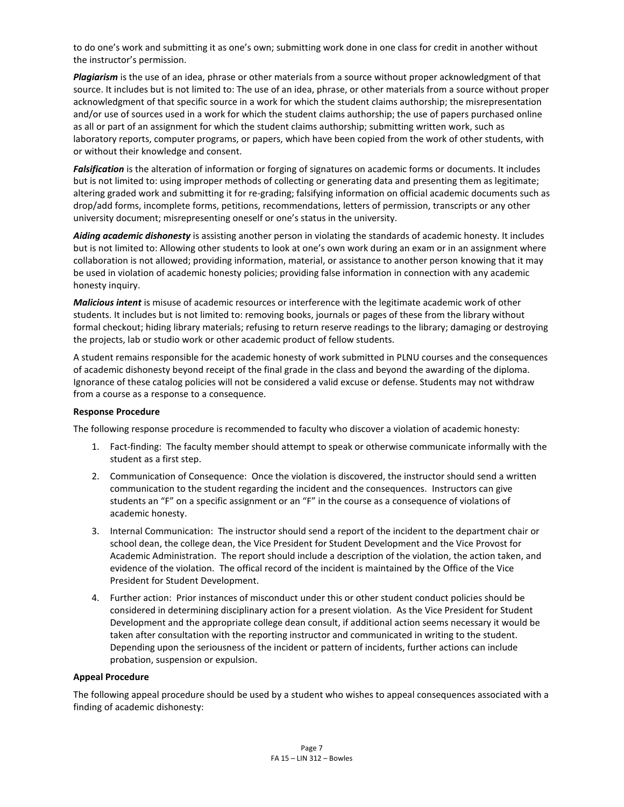to do one's work and submitting it as one's own; submitting work done in one class for credit in another without the instructor's permission.

*Plagiarism* is the use of an idea, phrase or other materials from a source without proper acknowledgment of that source. It includes but is not limited to: The use of an idea, phrase, or other materials from a source without proper acknowledgment of that specific source in a work for which the student claims authorship; the misrepresentation and/or use of sources used in a work for which the student claims authorship; the use of papers purchased online as all or part of an assignment for which the student claims authorship; submitting written work, such as laboratory reports, computer programs, or papers, which have been copied from the work of other students, with or without their knowledge and consent.

*Falsification* is the alteration of information or forging of signatures on academic forms or documents. It includes but is not limited to: using improper methods of collecting or generating data and presenting them as legitimate; altering graded work and submitting it for re-grading; falsifying information on official academic documents such as drop/add forms, incomplete forms, petitions, recommendations, letters of permission, transcripts or any other university document; misrepresenting oneself or one's status in the university.

*Aiding academic dishonesty* is assisting another person in violating the standards of academic honesty. It includes but is not limited to: Allowing other students to look at one's own work during an exam or in an assignment where collaboration is not allowed; providing information, material, or assistance to another person knowing that it may be used in violation of academic honesty policies; providing false information in connection with any academic honesty inquiry.

*Malicious intent* is misuse of academic resources or interference with the legitimate academic work of other students. It includes but is not limited to: removing books, journals or pages of these from the library without formal checkout; hiding library materials; refusing to return reserve readings to the library; damaging or destroying the projects, lab or studio work or other academic product of fellow students.

A student remains responsible for the academic honesty of work submitted in PLNU courses and the consequences of academic dishonesty beyond receipt of the final grade in the class and beyond the awarding of the diploma. Ignorance of these catalog policies will not be considered a valid excuse or defense. Students may not withdraw from a course as a response to a consequence.

### **Response Procedure**

The following response procedure is recommended to faculty who discover a violation of academic honesty:

- 1. Fact-finding: The faculty member should attempt to speak or otherwise communicate informally with the student as a first step.
- 2. Communication of Consequence: Once the violation is discovered, the instructor should send a written communication to the student regarding the incident and the consequences. Instructors can give students an "F" on a specific assignment or an "F" in the course as a consequence of violations of academic honesty.
- 3. Internal Communication: The instructor should send a report of the incident to the department chair or school dean, the college dean, the Vice President for Student Development and the Vice Provost for Academic Administration. The report should include a description of the violation, the action taken, and evidence of the violation. The offical record of the incident is maintained by the Office of the Vice President for Student Development.
- 4. Further action: Prior instances of misconduct under this or other student conduct policies should be considered in determining disciplinary action for a present violation. As the Vice President for Student Development and the appropriate college dean consult, if additional action seems necessary it would be taken after consultation with the reporting instructor and communicated in writing to the student. Depending upon the seriousness of the incident or pattern of incidents, further actions can include probation, suspension or expulsion.

## **Appeal Procedure**

The following appeal procedure should be used by a student who wishes to appeal consequences associated with a finding of academic dishonesty: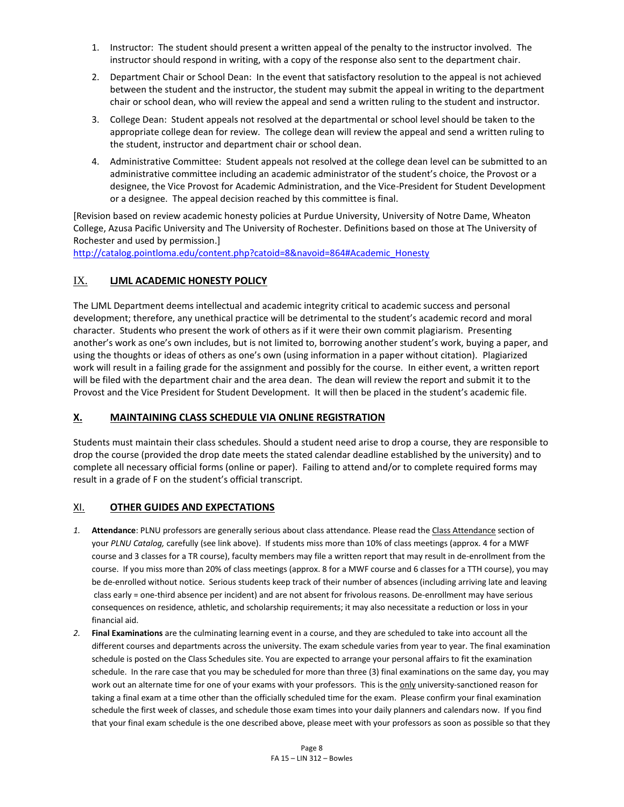- 1. Instructor: The student should present a written appeal of the penalty to the instructor involved. The instructor should respond in writing, with a copy of the response also sent to the department chair.
- 2. Department Chair or School Dean: In the event that satisfactory resolution to the appeal is not achieved between the student and the instructor, the student may submit the appeal in writing to the department chair or school dean, who will review the appeal and send a written ruling to the student and instructor.
- 3. College Dean: Student appeals not resolved at the departmental or school level should be taken to the appropriate college dean for review. The college dean will review the appeal and send a written ruling to the student, instructor and department chair or school dean.
- 4. Administrative Committee: Student appeals not resolved at the college dean level can be submitted to an administrative committee including an academic administrator of the student's choice, the Provost or a designee, the Vice Provost for Academic Administration, and the Vice-President for Student Development or a designee. The appeal decision reached by this committee is final.

[Revision based on review academic honesty policies at Purdue University, University of Notre Dame, Wheaton College, Azusa Pacific University and The University of Rochester. Definitions based on those at The University of Rochester and used by permission.]

[http://catalog.pointloma.edu/content.php?catoid=8&navoid=864#Academic\\_Honesty](http://catalog.pointloma.edu/content.php?catoid=8&navoid=864#Academic_Honesty)

# IX. **LJML ACADEMIC HONESTY POLICY**

The LJML Department deems intellectual and academic integrity critical to academic success and personal development; therefore, any unethical practice will be detrimental to the student's academic record and moral character. Students who present the work of others as if it were their own commit plagiarism. Presenting another's work as one's own includes, but is not limited to, borrowing another student's work, buying a paper, and using the thoughts or ideas of others as one's own (using information in a paper without citation). Plagiarized work will result in a failing grade for the assignment and possibly for the course. In either event, a written report will be filed with the department chair and the area dean. The dean will review the report and submit it to the Provost and the Vice President for Student Development. It will then be placed in the student's academic file.

## **X. MAINTAINING CLASS SCHEDULE VIA ONLINE REGISTRATION**

Students must maintain their class schedules. Should a student need arise to drop a course, they are responsible to drop the course (provided the drop date meets the stated calendar deadline established by the university) and to complete all necessary official forms (online or paper). Failing to attend and/or to complete required forms may result in a grade of F on the student's official transcript.

## XI. **OTHER GUIDES AND EXPECTATIONS**

- *1.* **Attendance**: PLNU professors are generally serious about class attendance. Please read the Class Attendance section of your *PLNU Catalog,* carefully (see link above). If students miss more than 10% of class meetings (approx. 4 for a MWF course and 3 classes for a TR course), faculty members may file a written report that may result in de-enrollment from the course. If you miss more than 20% of class meetings (approx. 8 for a MWF course and 6 classes for a TTH course), you may be de-enrolled without notice. Serious students keep track of their number of absences (including arriving late and leaving class early = one-third absence per incident) and are not absent for frivolous reasons. De-enrollment may have serious consequences on residence, athletic, and scholarship requirements; it may also necessitate a reduction or loss in your financial aid.
- *2.* **Final Examinations** are the culminating learning event in a course, and they are scheduled to take into account all the different courses and departments across the university. The exam schedule varies from year to year. The final examination schedule is posted on the Class Schedules site. You are expected to arrange your personal affairs to fit the examination schedule. In the rare case that you may be scheduled for more than three (3) final examinations on the same day, you may work out an alternate time for one of your exams with your professors. This is the only university-sanctioned reason for taking a final exam at a time other than the officially scheduled time for the exam. Please confirm your final examination schedule the first week of classes, and schedule those exam times into your daily planners and calendars now. If you find that your final exam schedule is the one described above, please meet with your professors as soon as possible so that they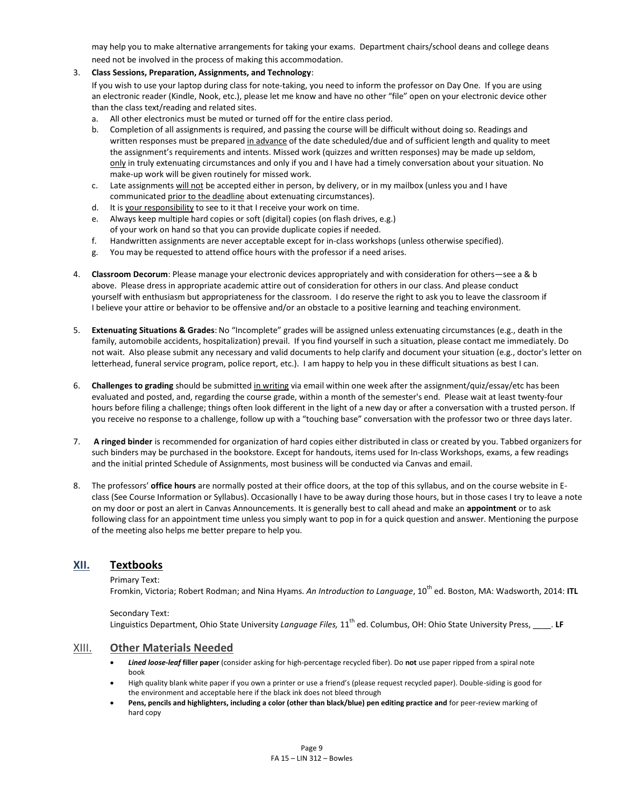may help you to make alternative arrangements for taking your exams. Department chairs/school deans and college deans need not be involved in the process of making this accommodation.

### 3. **Class Sessions, Preparation, Assignments, and Technology**:

If you wish to use your laptop during class for note-taking, you need to inform the professor on Day One. If you are using an electronic reader (Kindle, Nook, etc.), please let me know and have no other "file" open on your electronic device other than the class text/reading and related sites.

- a. All other electronics must be muted or turned off for the entire class period.
- b. Completion of all assignments is required, and passing the course will be difficult without doing so. Readings and written responses must be prepared in advance of the date scheduled/due and of sufficient length and quality to meet the assignment's requirements and intents. Missed work (quizzes and written responses) may be made up seldom, only in truly extenuating circumstances and only if you and I have had a timely conversation about your situation. No make-up work will be given routinely for missed work.
- c. Late assignments will not be accepted either in person, by delivery, or in my mailbox (unless you and I have communicated prior to the deadline about extenuating circumstances).
- d. It is your responsibility to see to it that I receive your work on time.
- e. Always keep multiple hard copies or soft (digital) copies (on flash drives, e.g.) of your work on hand so that you can provide duplicate copies if needed.
- f. Handwritten assignments are never acceptable except for in-class workshops (unless otherwise specified).
- g. You may be requested to attend office hours with the professor if a need arises.
- 4. **Classroom Decorum**: Please manage your electronic devices appropriately and with consideration for others—see a & b above. Please dress in appropriate academic attire out of consideration for others in our class. And please conduct yourself with enthusiasm but appropriateness for the classroom. I do reserve the right to ask you to leave the classroom if I believe your attire or behavior to be offensive and/or an obstacle to a positive learning and teaching environment.
- 5. **Extenuating Situations & Grades**: No "Incomplete" grades will be assigned unless extenuating circumstances (e.g., death in the family, automobile accidents, hospitalization) prevail. If you find yourself in such a situation, please contact me immediately. Do not wait. Also please submit any necessary and valid documents to help clarify and document your situation (e.g., doctor's letter on letterhead, funeral service program, police report, etc.). I am happy to help you in these difficult situations as best I can.
- 6. **Challenges to grading** should be submitted in writing via email within one week after the assignment/quiz/essay/etc has been evaluated and posted, and, regarding the course grade, within a month of the semester's end. Please wait at least twenty-four hours before filing a challenge; things often look different in the light of a new day or after a conversation with a trusted person. If you receive no response to a challenge, follow up with a "touching base" conversation with the professor two or three days later.
- 7. **A ringed binder** is recommended for organization of hard copies either distributed in class or created by you. Tabbed organizers for such binders may be purchased in the bookstore. Except for handouts, items used for In-class Workshops, exams, a few readings and the initial printed Schedule of Assignments, most business will be conducted via Canvas and email.
- 8. The professors' **office hours** are normally posted at their office doors, at the top of this syllabus, and on the course website in Eclass (See Course Information or Syllabus). Occasionally I have to be away during those hours, but in those cases I try to leave a note on my door or post an alert in Canvas Announcements. It is generally best to call ahead and make an **appointment** or to ask following class for an appointment time unless you simply want to pop in for a quick question and answer. Mentioning the purpose of the meeting also helps me better prepare to help you.

## **XII. Textbooks**

Primary Text:

Fromkin, Victoria; Robert Rodman; and Nina Hyams. *An Introduction to Language*, 10th ed. Boston, MA: Wadsworth, 2014: **ITL**

#### Secondary Text:

Linguistics Department, Ohio State University *Language Files,* 11th ed. Columbus, OH: Ohio State University Press, \_\_\_\_. **LF**

### XIII. **Other Materials Needed**

- *Lined loose-leaf* **filler paper** (consider asking for high-percentage recycled fiber). Do **not** use paper ripped from a spiral note book
- High quality blank white paper if you own a printer or use a friend's (please request recycled paper). Double-siding is good for the environment and acceptable here if the black ink does not bleed through
- **Pens, pencils and highlighters, including a color (other than black/blue) pen editing practice and** for peer-review marking of hard copy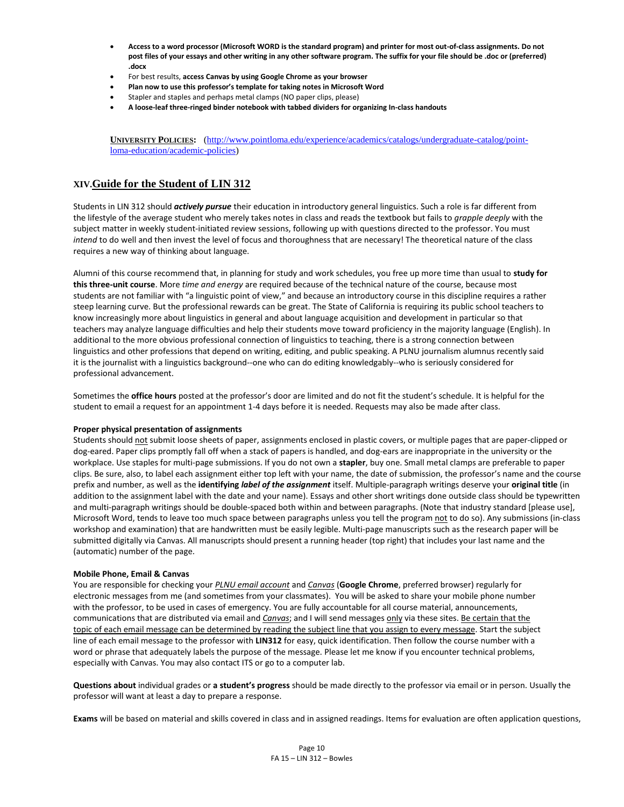- **Access to a word processor (Microsoft WORD is the standard program) and printer for most out-of-class assignments. Do not post files of your essays and other writing in any other software program. The suffix for your file should be .doc or (preferred) .docx**
- For best results, **access Canvas by using Google Chrome as your browser**
- **Plan now to use this professor's template for taking notes in Microsoft Word**
- Stapler and staples and perhaps metal clamps (NO paper clips, please)
- **A loose-leaf three-ringed binder notebook with tabbed dividers for organizing In-class handouts**

**UNIVERSITY POLICIES:** [\(http://www.pointloma.edu/experience/academics/catalogs/undergraduate-catalog/point](http://www.pointloma.edu/experience/academics/catalogs/undergraduate-catalog/point-loma-education/academic-policies)[loma-education/academic-policies\)](http://www.pointloma.edu/experience/academics/catalogs/undergraduate-catalog/point-loma-education/academic-policies)

## **XIV.Guide for the Student of LIN 312**

Students in LIN 312 should *actively pursue* their education in introductory general linguistics. Such a role is far different from the lifestyle of the average student who merely takes notes in class and reads the textbook but fails to *grapple deeply* with the subject matter in weekly student-initiated review sessions, following up with questions directed to the professor. You must *intend* to do well and then invest the level of focus and thoroughness that are necessary! The theoretical nature of the class requires a new way of thinking about language.

Alumni of this course recommend that, in planning for study and work schedules, you free up more time than usual to **study for this three-unit course**. More *time and energy* are required because of the technical nature of the course, because most students are not familiar with "a linguistic point of view," and because an introductory course in this discipline requires a rather steep learning curve. But the professional rewards can be great. The State of California is requiring its public school teachers to know increasingly more about linguistics in general and about language acquisition and development in particular so that teachers may analyze language difficulties and help their students move toward proficiency in the majority language (English). In additional to the more obvious professional connection of linguistics to teaching, there is a strong connection between linguistics and other professions that depend on writing, editing, and public speaking. A PLNU journalism alumnus recently said it is the journalist with a linguistics background--one who can do editing knowledgably--who is seriously considered for professional advancement.

Sometimes the **office hours** posted at the professor's door are limited and do not fit the student's schedule. It is helpful for the student to email a request for an appointment 1-4 days before it is needed. Requests may also be made after class.

#### **Proper physical presentation of assignments**

Students should not submit loose sheets of paper, assignments enclosed in plastic covers, or multiple pages that are paper-clipped or dog-eared. Paper clips promptly fall off when a stack of papers is handled, and dog-ears are inappropriate in the university or the workplace. Use staples for multi-page submissions. If you do not own a **stapler**, buy one. Small metal clamps are preferable to paper clips. Be sure, also, to label each assignment either top left with your name, the date of submission, the professor's name and the course prefix and number, as well as the **identifying** *label of the assignment* itself. Multiple-paragraph writings deserve your **original title** (in addition to the assignment label with the date and your name). Essays and other short writings done outside class should be typewritten and multi-paragraph writings should be double-spaced both within and between paragraphs. (Note that industry standard [please use], Microsoft Word, tends to leave too much space between paragraphs unless you tell the program not to do so). Any submissions (in-class workshop and examination) that are handwritten must be easily legible. Multi-page manuscripts such as the research paper will be submitted digitally via Canvas. All manuscripts should present a running header (top right) that includes your last name and the (automatic) number of the page.

#### **Mobile Phone, Email & Canvas**

You are responsible for checking your *PLNU email account* and *Canvas* (**Google Chrome**, preferred browser) regularly for electronic messages from me (and sometimes from your classmates). You will be asked to share your mobile phone number with the professor, to be used in cases of emergency. You are fully accountable for all course material, announcements, communications that are distributed via email and *Canvas*; and I will send messages only via these sites. Be certain that the topic of each email message can be determined by reading the subject line that you assign to every message. Start the subject line of each email message to the professor with **LIN312** for easy, quick identification. Then follow the course number with a word or phrase that adequately labels the purpose of the message. Please let me know if you encounter technical problems, especially with Canvas. You may also contact ITS or go to a computer lab.

**Questions about** individual grades or **a student's progress** should be made directly to the professor via email or in person. Usually the professor will want at least a day to prepare a response.

**Exams** will be based on material and skills covered in class and in assigned readings. Items for evaluation are often application questions,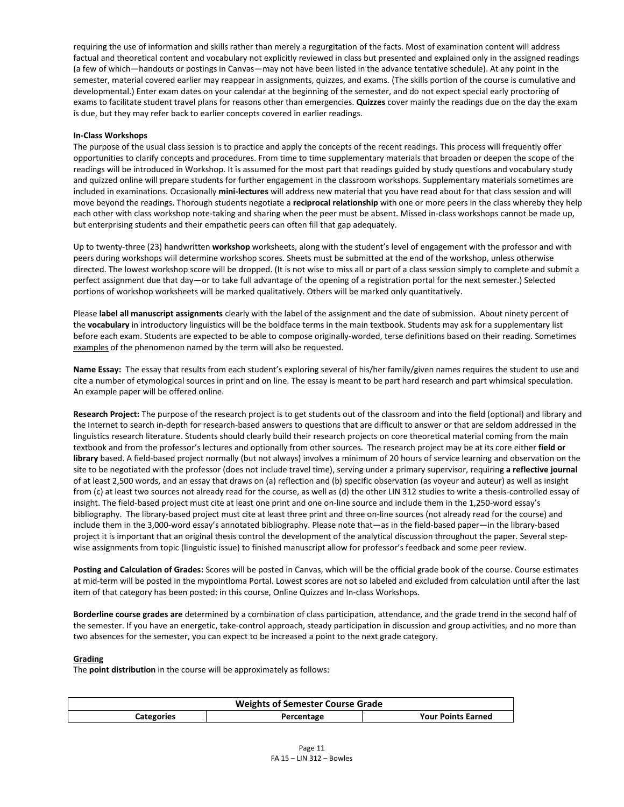requiring the use of information and skills rather than merely a regurgitation of the facts. Most of examination content will address factual and theoretical content and vocabulary not explicitly reviewed in class but presented and explained only in the assigned readings (a few of which—handouts or postings in Canvas—may not have been listed in the advance tentative schedule). At any point in the semester, material covered earlier may reappear in assignments, quizzes, and exams. (The skills portion of the course is cumulative and developmental.) Enter exam dates on your calendar at the beginning of the semester, and do not expect special early proctoring of exams to facilitate student travel plans for reasons other than emergencies. **Quizzes** cover mainly the readings due on the day the exam is due, but they may refer back to earlier concepts covered in earlier readings.

#### **In-Class Workshops**

The purpose of the usual class session is to practice and apply the concepts of the recent readings. This process will frequently offer opportunities to clarify concepts and procedures. From time to time supplementary materials that broaden or deepen the scope of the readings will be introduced in Workshop. It is assumed for the most part that readings guided by study questions and vocabulary study and quizzed online will prepare students for further engagement in the classroom workshops. Supplementary materials sometimes are included in examinations. Occasionally **mini-lectures** will address new material that you have read about for that class session and will move beyond the readings. Thorough students negotiate a **reciprocal relationship** with one or more peers in the class whereby they help each other with class workshop note-taking and sharing when the peer must be absent. Missed in-class workshops cannot be made up, but enterprising students and their empathetic peers can often fill that gap adequately.

Up to twenty-three (23) handwritten **workshop** worksheets, along with the student's level of engagement with the professor and with peers during workshops will determine workshop scores. Sheets must be submitted at the end of the workshop, unless otherwise directed. The lowest workshop score will be dropped. (It is not wise to miss all or part of a class session simply to complete and submit a perfect assignment due that day—or to take full advantage of the opening of a registration portal for the next semester.) Selected portions of workshop worksheets will be marked qualitatively. Others will be marked only quantitatively.

Please **label all manuscript assignments** clearly with the label of the assignment and the date of submission. About ninety percent of the **vocabulary** in introductory linguistics will be the boldface terms in the main textbook. Students may ask for a supplementary list before each exam. Students are expected to be able to compose originally-worded, terse definitions based on their reading. Sometimes examples of the phenomenon named by the term will also be requested.

**Name Essay:** The essay that results from each student's exploring several of his/her family/given names requires the student to use and cite a number of etymological sources in print and on line. The essay is meant to be part hard research and part whimsical speculation. An example paper will be offered online.

**Research Project:** The purpose of the research project is to get students out of the classroom and into the field (optional) and library and the Internet to search in-depth for research-based answers to questions that are difficult to answer or that are seldom addressed in the linguistics research literature. Students should clearly build their research projects on core theoretical material coming from the main textbook and from the professor's lectures and optionally from other sources. The research project may be at its core either **field or library** based. A field-based project normally (but not always) involves a minimum of 20 hours of service learning and observation on the site to be negotiated with the professor (does not include travel time), serving under a primary supervisor, requiring **a reflective journal** of at least 2,500 words, and an essay that draws on (a) reflection and (b) specific observation (as voyeur and auteur) as well as insight from (c) at least two sources not already read for the course, as well as (d) the other LIN 312 studies to write a thesis-controlled essay of insight. The field-based project must cite at least one print and one on-line source and include them in the 1,250-word essay's bibliography. The library-based project must cite at least three print and three on-line sources (not already read for the course) and include them in the 3,000-word essay's annotated bibliography. Please note that—as in the field-based paper—in the library-based project it is important that an original thesis control the development of the analytical discussion throughout the paper. Several stepwise assignments from topic (linguistic issue) to finished manuscript allow for professor's feedback and some peer review.

**Posting and Calculation of Grades:** Scores will be posted in Canvas, which will be the official grade book of the course. Course estimates at mid-term will be posted in the mypointloma Portal. Lowest scores are not so labeled and excluded from calculation until after the last item of that category has been posted: in this course, Online Quizzes and In-class Workshops.

**Borderline course grades are** determined by a combination of class participation, attendance, and the grade trend in the second half of the semester. If you have an energetic, take-control approach, steady participation in discussion and group activities, and no more than two absences for the semester, you can expect to be increased a point to the next grade category.

#### **Grading**

The **point distribution** in the course will be approximately as follows:

| <b>Weights of Semester Course Grade</b> |            |                           |
|-----------------------------------------|------------|---------------------------|
| Categories                              | Percentage | <b>Your Points Earned</b> |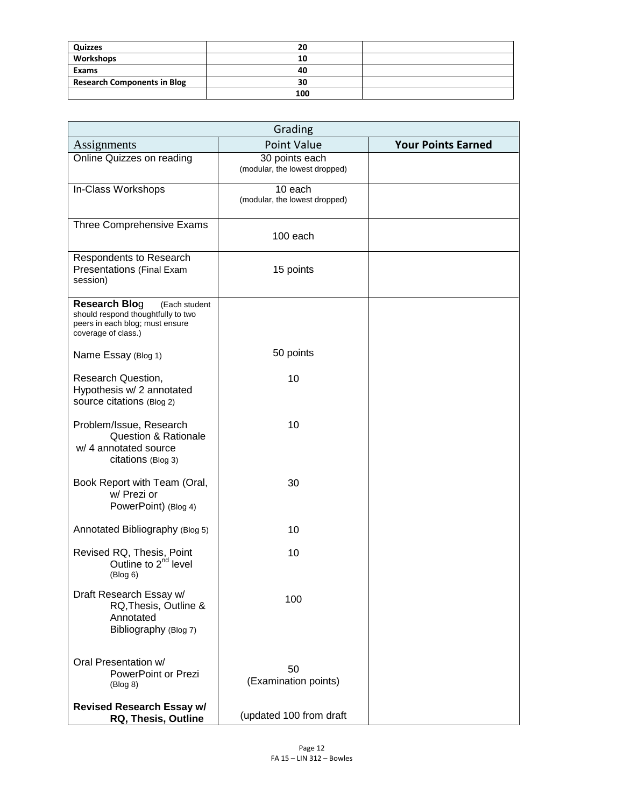| Quizzes                            | 20  |  |
|------------------------------------|-----|--|
| Workshops                          | 10  |  |
| Exams                              | 40  |  |
| <b>Research Components in Blog</b> | 30  |  |
|                                    | 100 |  |

| Grading                                                                                                                               |                                                 |                           |  |
|---------------------------------------------------------------------------------------------------------------------------------------|-------------------------------------------------|---------------------------|--|
| Assignments                                                                                                                           | <b>Point Value</b>                              | <b>Your Points Earned</b> |  |
| Online Quizzes on reading                                                                                                             | 30 points each<br>(modular, the lowest dropped) |                           |  |
| In-Class Workshops                                                                                                                    | 10 each<br>(modular, the lowest dropped)        |                           |  |
| Three Comprehensive Exams                                                                                                             | 100 each                                        |                           |  |
| Respondents to Research<br>Presentations (Final Exam<br>session)                                                                      | 15 points                                       |                           |  |
| <b>Research Blog</b><br>(Each student<br>should respond thoughtfully to two<br>peers in each blog; must ensure<br>coverage of class.) |                                                 |                           |  |
| Name Essay (Blog 1)                                                                                                                   | 50 points                                       |                           |  |
| Research Question,<br>Hypothesis w/ 2 annotated<br>source citations (Blog 2)                                                          | 10                                              |                           |  |
| Problem/Issue, Research<br><b>Question &amp; Rationale</b><br>w/ 4 annotated source<br>citations (Blog 3)                             | 10                                              |                           |  |
| Book Report with Team (Oral,<br>w/ Prezi or<br>PowerPoint) (Blog 4)                                                                   | 30                                              |                           |  |
| Annotated Bibliography (Blog 5)                                                                                                       | 10                                              |                           |  |
| Revised RQ, Thesis, Point<br>Outline to 2 <sup>nd</sup> level<br>(Blog 6)                                                             | 10                                              |                           |  |
| Draft Research Essay w/<br>RQ, Thesis, Outline &<br>Annotated<br>Bibliography (Blog 7)                                                | 100                                             |                           |  |
| Oral Presentation w/<br>PowerPoint or Prezi<br>(Blog 8)                                                                               | 50<br>(Examination points)                      |                           |  |
| <b>Revised Research Essay w/</b><br>RQ, Thesis, Outline                                                                               | (updated 100 from draft                         |                           |  |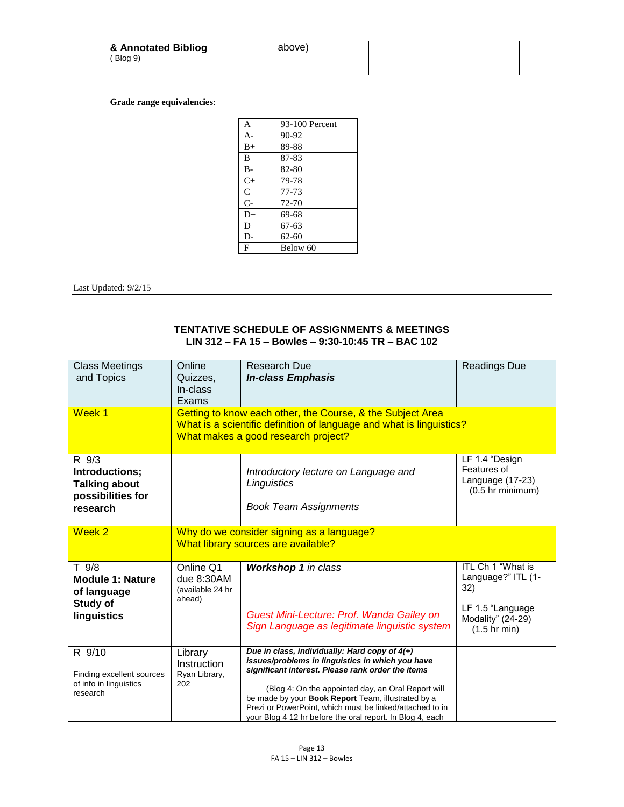| & Annotated Bibliog | above) |
|---------------------|--------|
| Blog 9)             |        |

### **Grade range equivalencies**:

| A            | 93-100 Percent |
|--------------|----------------|
| $A-$         | 90-92          |
| $B+$         | 89-88          |
| B            | 87-83          |
| $B -$        | 82-80          |
| $C+$         | 79-78          |
| $\mathsf{C}$ | 77-73          |
| $C-$         | 72-70          |
| $D+$         | 69-68          |
| D            | $67 - 63$      |
| D-           | 62-60          |
| F            | Below 60       |

Last Updated: 9/2/15

## **TENTATIVE SCHEDULE OF ASSIGNMENTS & MEETINGS LIN 312 – FA 15 – Bowles – 9:30-10:45 TR – BAC 102**

| <b>Class Meetings</b><br>and Topics                                              | Online<br>Quizzes,<br>In-class<br>Exams                                          | <b>Research Due</b><br><b>In-class Emphasis</b>                                                                                                                                                                                                                                                                                                                                               | <b>Readings Due</b>                                                                                               |
|----------------------------------------------------------------------------------|----------------------------------------------------------------------------------|-----------------------------------------------------------------------------------------------------------------------------------------------------------------------------------------------------------------------------------------------------------------------------------------------------------------------------------------------------------------------------------------------|-------------------------------------------------------------------------------------------------------------------|
| Week <sub>1</sub>                                                                |                                                                                  | Getting to know each other, the Course, & the Subject Area<br>What is a scientific definition of language and what is linguistics?<br>What makes a good research project?                                                                                                                                                                                                                     |                                                                                                                   |
| R 9/3<br>Introductions;<br><b>Talking about</b><br>possibilities for<br>research |                                                                                  | Introductory lecture on Language and<br>Linguistics<br><b>Book Team Assignments</b>                                                                                                                                                                                                                                                                                                           | LF 1.4 "Design<br>Features of<br>Language (17-23)<br>$(0.5$ hr minimum)                                           |
| Week 2                                                                           | Why do we consider signing as a language?<br>What library sources are available? |                                                                                                                                                                                                                                                                                                                                                                                               |                                                                                                                   |
| T 9/8<br><b>Module 1: Nature</b><br>of language<br>Study of<br>linguistics       | Online Q1<br>due 8:30AM<br>(available 24 hr<br>ahead)                            | <b>Workshop 1</b> in class<br>Guest Mini-Lecture: Prof. Wanda Gailey on<br>Sign Language as legitimate linguistic system                                                                                                                                                                                                                                                                      | ITL Ch 1 "What is<br>Language?" ITL (1-<br>32)<br>LF 1.5 "Language<br>Modality" (24-29)<br>$(1.5 \text{ hr min})$ |
| R 9/10<br>Finding excellent sources<br>of info in linguistics<br>research        | Library<br>Instruction<br>Ryan Library,<br>202                                   | Due in class, individually: Hard copy of $4(+)$<br>issues/problems in linguistics in which you have<br>significant interest. Please rank order the items<br>(Blog 4: On the appointed day, an Oral Report will<br>be made by your Book Report Team, illustrated by a<br>Prezi or PowerPoint, which must be linked/attached to in<br>your Blog 4 12 hr before the oral report. In Blog 4, each |                                                                                                                   |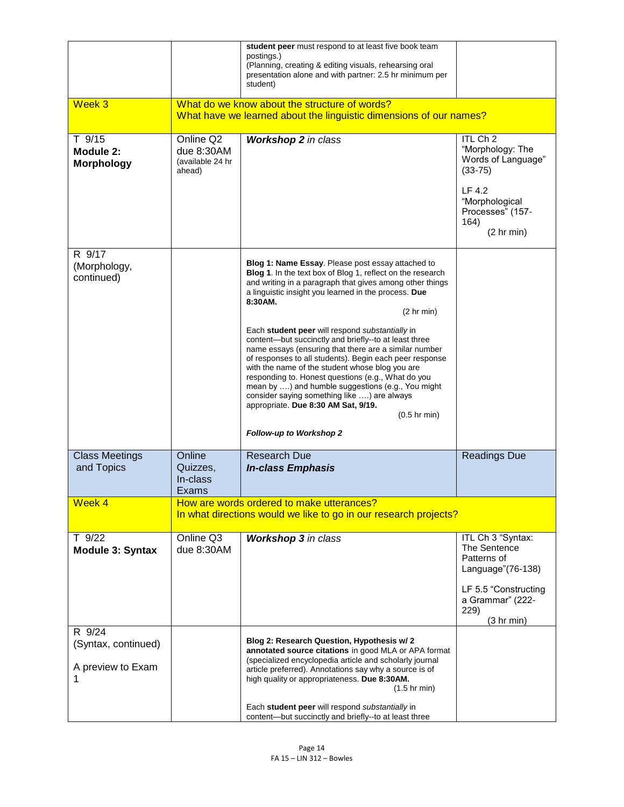| Week 3                                             |                                                       | student peer must respond to at least five book team<br>postings.)<br>(Planning, creating & editing visuals, rehearsing oral<br>presentation alone and with partner: 2.5 hr minimum per<br>student)<br>What do we know about the structure of words?<br>What have we learned about the linguistic dimensions of our names?                                                                                                                                                                                                                                                                                                                                                                                                                                                                              |                                                                                                                                                    |
|----------------------------------------------------|-------------------------------------------------------|---------------------------------------------------------------------------------------------------------------------------------------------------------------------------------------------------------------------------------------------------------------------------------------------------------------------------------------------------------------------------------------------------------------------------------------------------------------------------------------------------------------------------------------------------------------------------------------------------------------------------------------------------------------------------------------------------------------------------------------------------------------------------------------------------------|----------------------------------------------------------------------------------------------------------------------------------------------------|
| T 9/15<br>Module 2:<br><b>Morphology</b>           | Online Q2<br>due 8:30AM<br>(available 24 hr<br>ahead) | <b>Workshop 2</b> in class                                                                                                                                                                                                                                                                                                                                                                                                                                                                                                                                                                                                                                                                                                                                                                              | ITL Ch <sub>2</sub><br>"Morphology: The<br>Words of Language"<br>$(33 - 75)$<br>LF 4.2<br>"Morphological<br>Processes" (157-<br>164)<br>(2 hr min) |
| R 9/17<br>(Morphology,<br>continued)               |                                                       | Blog 1: Name Essay. Please post essay attached to<br>Blog 1. In the text box of Blog 1, reflect on the research<br>and writing in a paragraph that gives among other things<br>a linguistic insight you learned in the process. Due<br>8:30AM.<br>$(2 \text{ hr min})$<br>Each student peer will respond substantially in<br>content-but succinctly and briefly--to at least three<br>name essays (ensuring that there are a similar number<br>of responses to all students). Begin each peer response<br>with the name of the student whose blog you are<br>responding to. Honest questions (e.g., What do you<br>mean by ) and humble suggestions (e.g., You might<br>consider saying something like ) are always<br>appropriate. Due 8:30 AM Sat, 9/19.<br>$(0.5$ hr min)<br>Follow-up to Workshop 2 |                                                                                                                                                    |
| <b>Class Meetings</b><br>and Topics                | Online<br>Quizzes,<br>In-class<br><b>Exams</b>        | <b>Research Due</b><br><b>In-class Emphasis</b>                                                                                                                                                                                                                                                                                                                                                                                                                                                                                                                                                                                                                                                                                                                                                         | Readings Due                                                                                                                                       |
| Week 4                                             |                                                       | How are words ordered to make utterances?<br>In what directions would we like to go in our research projects?                                                                                                                                                                                                                                                                                                                                                                                                                                                                                                                                                                                                                                                                                           |                                                                                                                                                    |
| $T$ 9/22<br><b>Module 3: Syntax</b>                | Online Q3<br>due 8:30AM                               | <b>Workshop 3</b> in class                                                                                                                                                                                                                                                                                                                                                                                                                                                                                                                                                                                                                                                                                                                                                                              | ITL Ch 3 "Syntax:<br>The Sentence<br>Patterns of<br>Language" (76-138)<br>LF 5.5 "Constructing<br>a Grammar" (222-<br>229)<br>(3 hr min)           |
| R 9/24<br>(Syntax, continued)<br>A preview to Exam |                                                       | Blog 2: Research Question, Hypothesis w/ 2<br>annotated source citations in good MLA or APA format<br>(specialized encyclopedia article and scholarly journal<br>article preferred). Annotations say why a source is of<br>high quality or appropriateness. Due 8:30AM.<br>$(1.5 \text{ hr min})$<br>Each student peer will respond substantially in<br>content-but succinctly and briefly--to at least three                                                                                                                                                                                                                                                                                                                                                                                           |                                                                                                                                                    |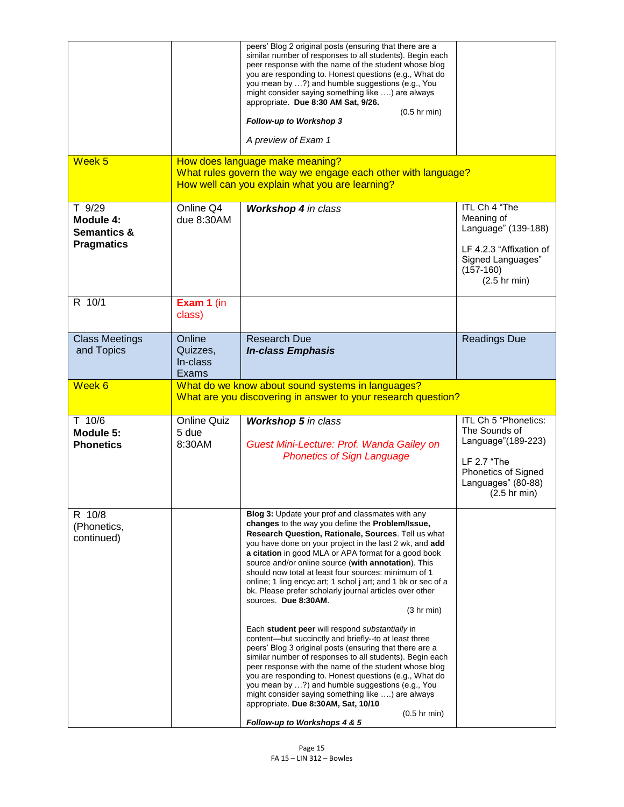|                                                                    |                                                                                                                    | peers' Blog 2 original posts (ensuring that there are a<br>similar number of responses to all students). Begin each<br>peer response with the name of the student whose blog<br>you are responding to. Honest questions (e.g., What do<br>you mean by ?) and humble suggestions (e.g., You<br>might consider saying something like ) are always<br>appropriate. Due 8:30 AM Sat, 9/26.<br>$(0.5$ hr min)<br>Follow-up to Workshop 3                                                                                                                                                                                                                                                                                                                                                                                                                                                                                                                                                                                                                                                                                                      |                                                                                                                                                   |
|--------------------------------------------------------------------|--------------------------------------------------------------------------------------------------------------------|------------------------------------------------------------------------------------------------------------------------------------------------------------------------------------------------------------------------------------------------------------------------------------------------------------------------------------------------------------------------------------------------------------------------------------------------------------------------------------------------------------------------------------------------------------------------------------------------------------------------------------------------------------------------------------------------------------------------------------------------------------------------------------------------------------------------------------------------------------------------------------------------------------------------------------------------------------------------------------------------------------------------------------------------------------------------------------------------------------------------------------------|---------------------------------------------------------------------------------------------------------------------------------------------------|
|                                                                    |                                                                                                                    | A preview of Exam 1                                                                                                                                                                                                                                                                                                                                                                                                                                                                                                                                                                                                                                                                                                                                                                                                                                                                                                                                                                                                                                                                                                                      |                                                                                                                                                   |
| Week 5                                                             |                                                                                                                    | How does language make meaning?<br>What rules govern the way we engage each other with language?<br>How well can you explain what you are learning?                                                                                                                                                                                                                                                                                                                                                                                                                                                                                                                                                                                                                                                                                                                                                                                                                                                                                                                                                                                      |                                                                                                                                                   |
| T 9/29<br>Module 4:<br><b>Semantics &amp;</b><br><b>Pragmatics</b> | Online Q4<br>due 8:30AM                                                                                            | Workshop 4 in class                                                                                                                                                                                                                                                                                                                                                                                                                                                                                                                                                                                                                                                                                                                                                                                                                                                                                                                                                                                                                                                                                                                      | ITL Ch 4 "The<br>Meaning of<br>Language" (139-188)<br>LF 4.2.3 "Affixation of<br>Signed Languages"<br>$(157-160)$<br>$(2.5$ hr min)               |
| R 10/1                                                             | Exam 1 (in<br>class)                                                                                               |                                                                                                                                                                                                                                                                                                                                                                                                                                                                                                                                                                                                                                                                                                                                                                                                                                                                                                                                                                                                                                                                                                                                          |                                                                                                                                                   |
| <b>Class Meetings</b><br>and Topics                                | Online<br>Quizzes,<br>In-class<br>Exams                                                                            | <b>Research Due</b><br><b>In-class Emphasis</b>                                                                                                                                                                                                                                                                                                                                                                                                                                                                                                                                                                                                                                                                                                                                                                                                                                                                                                                                                                                                                                                                                          | <b>Readings Due</b>                                                                                                                               |
| Week 6                                                             | What do we know about sound systems in languages?<br>What are you discovering in answer to your research question? |                                                                                                                                                                                                                                                                                                                                                                                                                                                                                                                                                                                                                                                                                                                                                                                                                                                                                                                                                                                                                                                                                                                                          |                                                                                                                                                   |
| $T$ 10/6<br>Module 5:<br><b>Phonetics</b>                          | <b>Online Quiz</b><br>5 due<br>8:30AM                                                                              | <b>Workshop 5</b> in class<br>Guest Mini-Lecture: Prof. Wanda Gailey on<br><b>Phonetics of Sign Language</b>                                                                                                                                                                                                                                                                                                                                                                                                                                                                                                                                                                                                                                                                                                                                                                                                                                                                                                                                                                                                                             | ITL Ch 5 "Phonetics:<br>The Sounds of<br>Language"(189-223)<br>LF 2.7 "The<br>Phonetics of Signed<br>Languages" (80-88)<br>$(2.5 \text{ hr min})$ |
| R 10/8<br>(Phonetics,<br>continued)                                |                                                                                                                    | Blog 3: Update your prof and classmates with any<br>changes to the way you define the Problem/Issue,<br><b>Research Question, Rationale, Sources. Tell us what</b><br>you have done on your project in the last 2 wk, and add<br>a citation in good MLA or APA format for a good book<br>source and/or online source (with annotation). This<br>should now total at least four sources: minimum of 1<br>online; 1 ling encyc art; 1 schol j art; and 1 bk or sec of a<br>bk. Please prefer scholarly journal articles over other<br>sources. Due 8:30AM.<br>$(3 \text{ hr min})$<br>Each student peer will respond substantially in<br>content-but succinctly and briefly--to at least three<br>peers' Blog 3 original posts (ensuring that there are a<br>similar number of responses to all students). Begin each<br>peer response with the name of the student whose blog<br>you are responding to. Honest questions (e.g., What do<br>you mean by ?) and humble suggestions (e.g., You<br>might consider saying something like ) are always<br>appropriate. Due 8:30AM, Sat, 10/10<br>$(0.5$ hr min)<br>Follow-up to Workshops 4 & 5 |                                                                                                                                                   |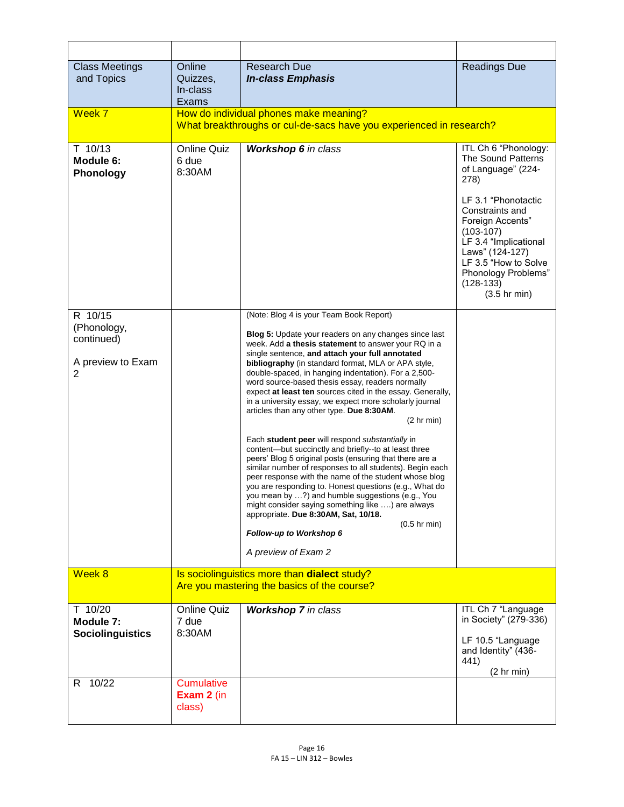| <b>Class Meetings</b><br>and Topics                            | Online<br>Quizzes,<br>In-class<br><b>Exams</b>                                                                | <b>Research Due</b><br><b>In-class Emphasis</b>                                                                                                                                                                                                                                                                                                                                                                                                                                                                                                                                                                                                                                                                                                                                                                                                                                                                                                                                                                                                                                                                                                               | <b>Readings Due</b>                                                                                                                                                                                                                                                               |
|----------------------------------------------------------------|---------------------------------------------------------------------------------------------------------------|---------------------------------------------------------------------------------------------------------------------------------------------------------------------------------------------------------------------------------------------------------------------------------------------------------------------------------------------------------------------------------------------------------------------------------------------------------------------------------------------------------------------------------------------------------------------------------------------------------------------------------------------------------------------------------------------------------------------------------------------------------------------------------------------------------------------------------------------------------------------------------------------------------------------------------------------------------------------------------------------------------------------------------------------------------------------------------------------------------------------------------------------------------------|-----------------------------------------------------------------------------------------------------------------------------------------------------------------------------------------------------------------------------------------------------------------------------------|
| Week 7                                                         | How do individual phones make meaning?<br>What breakthroughs or cul-de-sacs have you experienced in research? |                                                                                                                                                                                                                                                                                                                                                                                                                                                                                                                                                                                                                                                                                                                                                                                                                                                                                                                                                                                                                                                                                                                                                               |                                                                                                                                                                                                                                                                                   |
| $T$ 10/13<br>Module 6:<br>Phonology                            | <b>Online Quiz</b><br>6 due<br>8:30AM                                                                         | <b>Workshop 6</b> in class                                                                                                                                                                                                                                                                                                                                                                                                                                                                                                                                                                                                                                                                                                                                                                                                                                                                                                                                                                                                                                                                                                                                    | ITL Ch 6 "Phonology:<br>The Sound Patterns<br>of Language" (224-<br>278)<br>LF 3.1 "Phonotactic<br>Constraints and<br>Foreign Accents"<br>$(103-107)$<br>LF 3.4 "Implicational<br>Laws" (124-127)<br>LF 3.5 "How to Solve<br>Phonology Problems"<br>$(128-133)$<br>$(3.5$ hr min) |
| R 10/15<br>(Phonology,<br>continued)<br>A preview to Exam<br>2 |                                                                                                               | (Note: Blog 4 is your Team Book Report)<br><b>Blog 5:</b> Update your readers on any changes since last<br>week. Add a thesis statement to answer your RQ in a<br>single sentence, and attach your full annotated<br>bibliography (in standard format, MLA or APA style,<br>double-spaced, in hanging indentation). For a 2,500-<br>word source-based thesis essay, readers normally<br>expect at least ten sources cited in the essay. Generally,<br>in a university essay, we expect more scholarly journal<br>articles than any other type. Due 8:30AM.<br>$(2 \text{ hr min})$<br>Each student peer will respond substantially in<br>content-but succinctly and briefly--to at least three<br>peers' Blog 5 original posts (ensuring that there are a<br>similar number of responses to all students). Begin each<br>peer response with the name of the student whose blog<br>you are responding to. Honest questions (e.g., What do<br>you mean by ?) and humble suggestions (e.g., You<br>might consider saying something like ) are always<br>appropriate. Due 8:30AM, Sat, 10/18.<br>$(0.5$ hr min)<br>Follow-up to Workshop 6<br>A preview of Exam 2 |                                                                                                                                                                                                                                                                                   |
| Week 8                                                         | Is sociolinguistics more than dialect study?<br>Are you mastering the basics of the course?                   |                                                                                                                                                                                                                                                                                                                                                                                                                                                                                                                                                                                                                                                                                                                                                                                                                                                                                                                                                                                                                                                                                                                                                               |                                                                                                                                                                                                                                                                                   |
| T 10/20<br>Module 7:<br><b>Sociolinguistics</b>                | <b>Online Quiz</b><br>7 due<br>8:30AM                                                                         | <b>Workshop 7</b> in class                                                                                                                                                                                                                                                                                                                                                                                                                                                                                                                                                                                                                                                                                                                                                                                                                                                                                                                                                                                                                                                                                                                                    | ITL Ch 7 "Language<br>in Society" (279-336)<br>LF 10.5 "Language<br>and Identity" (436-<br>441)<br>(2 hr min)                                                                                                                                                                     |
| 10/22<br>R.                                                    | <b>Cumulative</b><br>Exam 2 (in<br>class)                                                                     |                                                                                                                                                                                                                                                                                                                                                                                                                                                                                                                                                                                                                                                                                                                                                                                                                                                                                                                                                                                                                                                                                                                                                               |                                                                                                                                                                                                                                                                                   |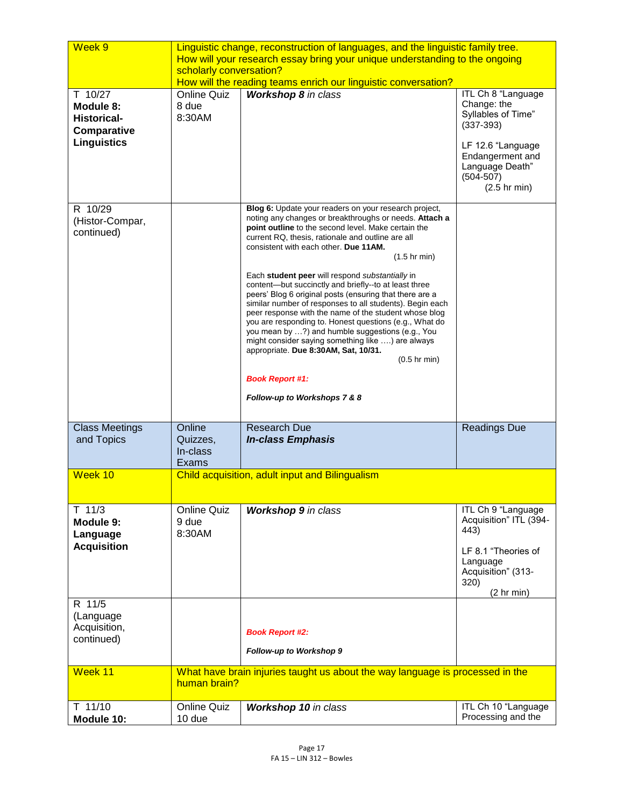| Week 9                                                                          | Linguistic change, reconstruction of languages, and the linguistic family tree.<br>How will your research essay bring your unique understanding to the ongoing<br>scholarly conversation? |                                                                                                                                                                                                                                                                                                                                                                                                                                                                                                                                                                                                                                                                                                                                                                                                                                                                           |                                                                                                                                                                       |
|---------------------------------------------------------------------------------|-------------------------------------------------------------------------------------------------------------------------------------------------------------------------------------------|---------------------------------------------------------------------------------------------------------------------------------------------------------------------------------------------------------------------------------------------------------------------------------------------------------------------------------------------------------------------------------------------------------------------------------------------------------------------------------------------------------------------------------------------------------------------------------------------------------------------------------------------------------------------------------------------------------------------------------------------------------------------------------------------------------------------------------------------------------------------------|-----------------------------------------------------------------------------------------------------------------------------------------------------------------------|
| T 10/27<br>Module 8:<br><b>Historical-</b><br>Comparative<br><b>Linguistics</b> | <b>Online Quiz</b><br>8 due<br>8:30AM                                                                                                                                                     | How will the reading teams enrich our linguistic conversation?<br>Workshop 8 in class                                                                                                                                                                                                                                                                                                                                                                                                                                                                                                                                                                                                                                                                                                                                                                                     | ITL Ch 8 "Language<br>Change: the<br>Syllables of Time"<br>$(337-393)$<br>LF 12.6 "Language<br>Endangerment and<br>Language Death"<br>$(504 - 507)$<br>$(2.5$ hr min) |
| R 10/29<br>(Histor-Compar,<br>continued)                                        |                                                                                                                                                                                           | Blog 6: Update your readers on your research project,<br>noting any changes or breakthroughs or needs. Attach a<br>point outline to the second level. Make certain the<br>current RQ, thesis, rationale and outline are all<br>consistent with each other. Due 11AM.<br>$(1.5$ hr min)<br>Each student peer will respond substantially in<br>content-but succinctly and briefly--to at least three<br>peers' Blog 6 original posts (ensuring that there are a<br>similar number of responses to all students). Begin each<br>peer response with the name of the student whose blog<br>you are responding to. Honest questions (e.g., What do<br>you mean by ?) and humble suggestions (e.g., You<br>might consider saying something like ) are always<br>appropriate. Due 8:30AM, Sat, 10/31.<br>$(0.5$ hr min)<br><b>Book Report #1:</b><br>Follow-up to Workshops 7 & 8 |                                                                                                                                                                       |
| <b>Class Meetings</b><br>and Topics                                             | Online<br>Quizzes,<br>In-class<br><b>Exams</b>                                                                                                                                            | <b>Research Due</b><br><b>In-class Emphasis</b>                                                                                                                                                                                                                                                                                                                                                                                                                                                                                                                                                                                                                                                                                                                                                                                                                           | Readings Due                                                                                                                                                          |
| Week 10                                                                         | Child acquisition, adult input and Bilingualism                                                                                                                                           |                                                                                                                                                                                                                                                                                                                                                                                                                                                                                                                                                                                                                                                                                                                                                                                                                                                                           |                                                                                                                                                                       |
| $T$ 11/3<br>Module 9:<br>Language<br><b>Acquisition</b>                         | <b>Online Quiz</b><br>9 due<br>8:30AM                                                                                                                                                     | <b>Workshop 9</b> in class                                                                                                                                                                                                                                                                                                                                                                                                                                                                                                                                                                                                                                                                                                                                                                                                                                                | ITL Ch 9 "Language<br>Acquisition" ITL (394-<br>443)<br>LF 8.1 "Theories of<br>Language<br>Acquisition" (313-<br>320)<br>(2 hr min)                                   |
| R 11/5<br>(Language<br>Acquisition,<br>continued)                               |                                                                                                                                                                                           | <b>Book Report #2:</b><br>Follow-up to Workshop 9                                                                                                                                                                                                                                                                                                                                                                                                                                                                                                                                                                                                                                                                                                                                                                                                                         |                                                                                                                                                                       |
| Week 11                                                                         | What have brain injuries taught us about the way language is processed in the<br>human brain?                                                                                             |                                                                                                                                                                                                                                                                                                                                                                                                                                                                                                                                                                                                                                                                                                                                                                                                                                                                           |                                                                                                                                                                       |
| T 11/10<br>Module 10:                                                           | <b>Online Quiz</b><br>10 due                                                                                                                                                              | <b>Workshop 10</b> in class                                                                                                                                                                                                                                                                                                                                                                                                                                                                                                                                                                                                                                                                                                                                                                                                                                               | ITL Ch 10 "Language<br>Processing and the                                                                                                                             |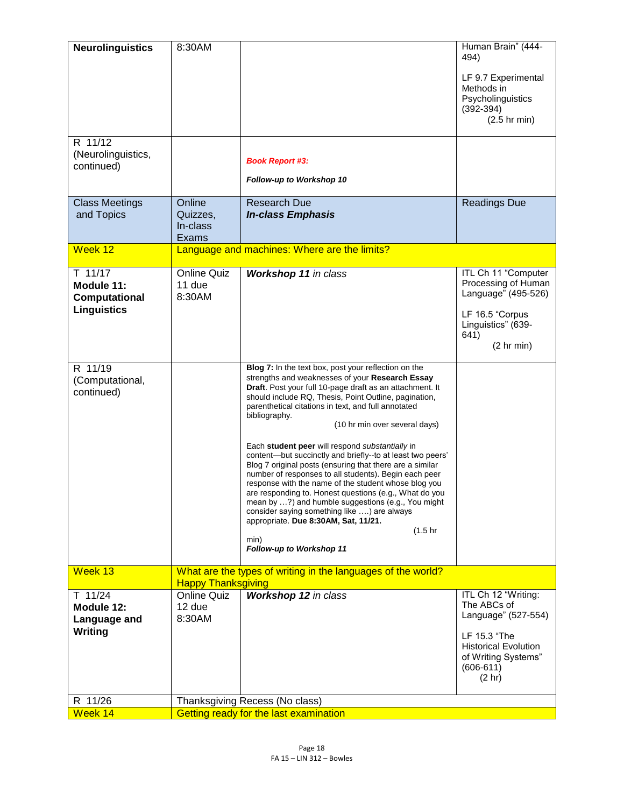| <b>Neurolinguistics</b><br>R 11/12<br>(Neurolinguistics,       | 8:30AM                                                                                    | <b>Book Report #3:</b>                                                                                                                                                                                                                                                                                                                                                                                                                                                                                                                                                                                                                                                                                                                                                                                                                                                                   | Human Brain" (444-<br>494)<br>LF 9.7 Experimental<br>Methods in<br>Psycholinguistics<br>$(392 - 394)$<br>$(2.5$ hr min)                                  |
|----------------------------------------------------------------|-------------------------------------------------------------------------------------------|------------------------------------------------------------------------------------------------------------------------------------------------------------------------------------------------------------------------------------------------------------------------------------------------------------------------------------------------------------------------------------------------------------------------------------------------------------------------------------------------------------------------------------------------------------------------------------------------------------------------------------------------------------------------------------------------------------------------------------------------------------------------------------------------------------------------------------------------------------------------------------------|----------------------------------------------------------------------------------------------------------------------------------------------------------|
| continued)                                                     |                                                                                           | Follow-up to Workshop 10                                                                                                                                                                                                                                                                                                                                                                                                                                                                                                                                                                                                                                                                                                                                                                                                                                                                 |                                                                                                                                                          |
| <b>Class Meetings</b><br>and Topics                            | Online<br>Quizzes,<br>In-class<br>Exams                                                   | <b>Research Due</b><br><b>In-class Emphasis</b>                                                                                                                                                                                                                                                                                                                                                                                                                                                                                                                                                                                                                                                                                                                                                                                                                                          | <b>Readings Due</b>                                                                                                                                      |
| Week 12                                                        |                                                                                           | Language and machines: Where are the limits?                                                                                                                                                                                                                                                                                                                                                                                                                                                                                                                                                                                                                                                                                                                                                                                                                                             |                                                                                                                                                          |
| $T$ 11/17<br>Module 11:<br>Computational<br><b>Linguistics</b> | <b>Online Quiz</b><br>11 due<br>8:30AM                                                    | Workshop 11 in class                                                                                                                                                                                                                                                                                                                                                                                                                                                                                                                                                                                                                                                                                                                                                                                                                                                                     | ITL Ch 11 "Computer<br>Processing of Human<br>Language" (495-526)<br>LF 16.5 "Corpus<br>Linguistics" (639-<br>641)<br>(2 hr min)                         |
| R 11/19<br>(Computational,<br>continued)                       |                                                                                           | Blog 7: In the text box, post your reflection on the<br>strengths and weaknesses of your Research Essay<br>Draft. Post your full 10-page draft as an attachment. It<br>should include RQ, Thesis, Point Outline, pagination,<br>parenthetical citations in text, and full annotated<br>bibliography.<br>(10 hr min over several days)<br>Each student peer will respond substantially in<br>content-but succinctly and briefly--to at least two peers'<br>Blog 7 original posts (ensuring that there are a similar<br>number of responses to all students). Begin each peer<br>response with the name of the student whose blog you<br>are responding to. Honest questions (e.g., What do you<br>mean by ?) and humble suggestions (e.g., You might<br>consider saying something like ) are always<br>appropriate. Due 8:30AM, Sat, 11/21.<br>(1.5hr<br>min)<br>Follow-up to Workshop 11 |                                                                                                                                                          |
| Week 13                                                        | What are the types of writing in the languages of the world?<br><b>Happy Thanksgiving</b> |                                                                                                                                                                                                                                                                                                                                                                                                                                                                                                                                                                                                                                                                                                                                                                                                                                                                                          |                                                                                                                                                          |
| $T$ 11/24<br>Module 12:<br>Language and<br>Writing             | <b>Online Quiz</b><br>12 due<br>8:30AM                                                    | Workshop 12 in class                                                                                                                                                                                                                                                                                                                                                                                                                                                                                                                                                                                                                                                                                                                                                                                                                                                                     | ITL Ch 12 "Writing:<br>The ABCs of<br>Language" (527-554)<br>LF 15.3 "The<br><b>Historical Evolution</b><br>of Writing Systems"<br>$(606-611)$<br>(2 hr) |
| R 11/26<br>Week 14                                             | Thanksgiving Recess (No class)<br>Getting ready for the last examination                  |                                                                                                                                                                                                                                                                                                                                                                                                                                                                                                                                                                                                                                                                                                                                                                                                                                                                                          |                                                                                                                                                          |
|                                                                |                                                                                           |                                                                                                                                                                                                                                                                                                                                                                                                                                                                                                                                                                                                                                                                                                                                                                                                                                                                                          |                                                                                                                                                          |